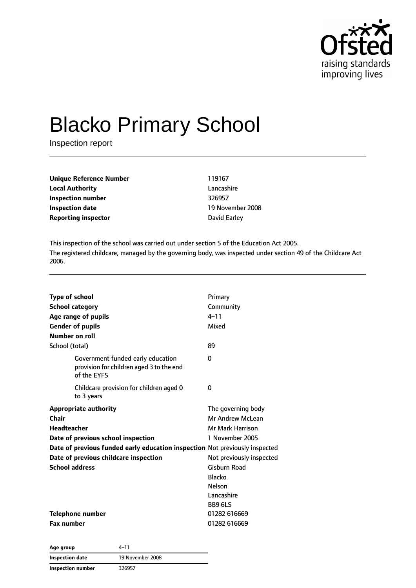

# Blacko Primary School

Inspection report

| <b>Unique Reference Number</b> | 119167       |
|--------------------------------|--------------|
| <b>Local Authority</b>         | Lancashire   |
| Inspection number              | 326957       |
| Inspection date                | 19 November  |
| <b>Reporting inspector</b>     | David Earley |

**Lancashire 19 November 2008** 

This inspection of the school was carried out under section 5 of the Education Act 2005. The registered childcare, managed by the governing body, was inspected under section 49 of the Childcare Act 2006.

| <b>Type of school</b>                                                                        | Primary                  |
|----------------------------------------------------------------------------------------------|--------------------------|
| <b>School category</b>                                                                       | Community                |
| Age range of pupils                                                                          | $4 - 11$                 |
| <b>Gender of pupils</b>                                                                      | Mixed                    |
| Number on roll                                                                               |                          |
| School (total)                                                                               | 89                       |
| Government funded early education<br>provision for children aged 3 to the end<br>of the EYFS | 0                        |
| Childcare provision for children aged 0<br>to 3 years                                        | 0                        |
| <b>Appropriate authority</b>                                                                 | The governing body       |
| Chair                                                                                        | Mr Andrew McLean         |
| <b>Headteacher</b>                                                                           | <b>Mr Mark Harrison</b>  |
| Date of previous school inspection                                                           | 1 November 2005          |
| Date of previous funded early education inspection Not previously inspected                  |                          |
| Date of previous childcare inspection                                                        | Not previously inspected |
| <b>School address</b>                                                                        | Gisburn Road             |
|                                                                                              | <b>Blacko</b>            |
|                                                                                              | <b>Nelson</b>            |
|                                                                                              | Lancashire               |
|                                                                                              | <b>BB9 6LS</b>           |
| Telephone number                                                                             | 01282 616669             |
| <b>Fax number</b>                                                                            | 01282 616669             |

**Age group** 4–11 **Inspection date** 19 November 2008 **Inspection number** 326957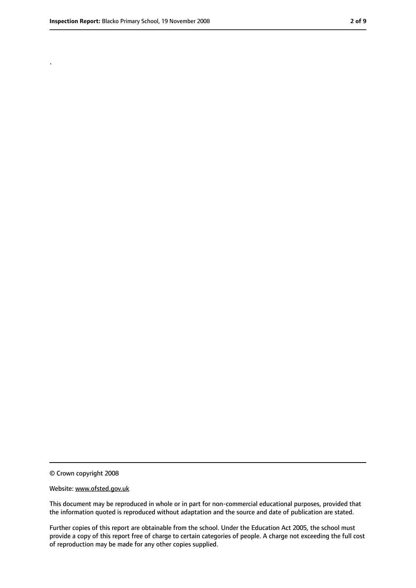.

<sup>©</sup> Crown copyright 2008

Website: www.ofsted.gov.uk

This document may be reproduced in whole or in part for non-commercial educational purposes, provided that the information quoted is reproduced without adaptation and the source and date of publication are stated.

Further copies of this report are obtainable from the school. Under the Education Act 2005, the school must provide a copy of this report free of charge to certain categories of people. A charge not exceeding the full cost of reproduction may be made for any other copies supplied.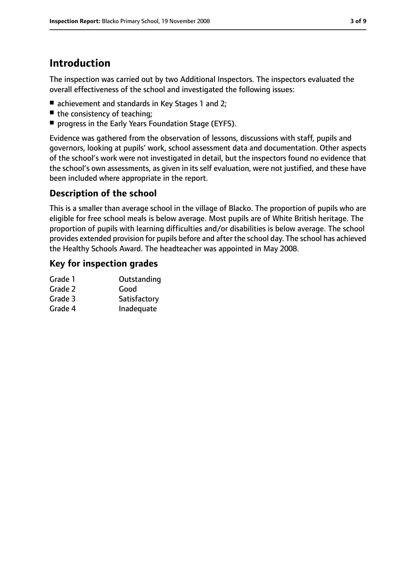# **Introduction**

The inspection was carried out by two Additional Inspectors. The inspectors evaluated the overall effectiveness of the school and investigated the following issues:

- achievement and standards in Key Stages 1 and 2:
- the consistency of teaching;
- progress in the Early Years Foundation Stage (EYFS).

Evidence was gathered from the observation of lessons, discussions with staff, pupils and governors, looking at pupils' work, school assessment data and documentation. Other aspects of the school's work were not investigated in detail, but the inspectors found no evidence that the school's own assessments, as given in its self evaluation, were not justified, and these have been included where appropriate in the report.

#### **Description of the school**

This is a smaller than average school in the village of Blacko. The proportion of pupils who are eligible for free school meals is below average. Most pupils are of White British heritage. The proportion of pupils with learning difficulties and/or disabilities is below average. The school provides extended provision for pupils before and after the school day. The school has achieved the Healthy Schools Award. The headteacher was appointed in May 2008.

### **Key for inspection grades**

| Grade 1 | Outstanding  |
|---------|--------------|
| Grade 2 | Good         |
| Grade 3 | Satisfactory |
| Grade 4 | Inadequate   |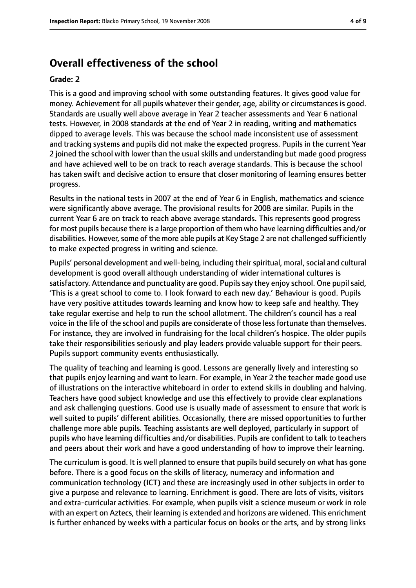## **Overall effectiveness of the school**

#### **Grade: 2**

This is a good and improving school with some outstanding features. It gives good value for money. Achievement for all pupils whatever their gender, age, ability or circumstances is good. Standards are usually well above average in Year 2 teacher assessments and Year 6 national tests. However, in 2008 standards at the end of Year 2 in reading, writing and mathematics dipped to average levels. This was because the school made inconsistent use of assessment and tracking systems and pupils did not make the expected progress. Pupils in the current Year 2 joined the school with lower than the usual skills and understanding but made good progress and have achieved well to be on track to reach average standards. This is because the school has taken swift and decisive action to ensure that closer monitoring of learning ensures better progress.

Results in the national tests in 2007 at the end of Year 6 in English, mathematics and science were significantly above average. The provisional results for 2008 are similar. Pupils in the current Year 6 are on track to reach above average standards. This represents good progress for most pupils because there is a large proportion of them who have learning difficulties and/or disabilities. However, some of the more able pupils at Key Stage 2 are not challenged sufficiently to make expected progress in writing and science.

Pupils' personal development and well-being, including their spiritual, moral, social and cultural development is good overall although understanding of wider international cultures is satisfactory. Attendance and punctuality are good. Pupils say they enjoy school. One pupil said, 'This is a great school to come to. I look forward to each new day.' Behaviour is good. Pupils have very positive attitudes towards learning and know how to keep safe and healthy. They take regular exercise and help to run the school allotment. The children's council has a real voice in the life of the school and pupils are considerate of those lessfortunate than themselves. For instance, they are involved in fundraising for the local children's hospice. The older pupils take their responsibilities seriously and play leaders provide valuable support for their peers. Pupils support community events enthusiastically.

The quality of teaching and learning is good. Lessons are generally lively and interesting so that pupils enjoy learning and want to learn. For example, in Year 2 the teacher made good use of illustrations on the interactive whiteboard in order to extend skills in doubling and halving. Teachers have good subject knowledge and use this effectively to provide clear explanations and ask challenging questions. Good use is usually made of assessment to ensure that work is well suited to pupils' different abilities. Occasionally, there are missed opportunities to further challenge more able pupils. Teaching assistants are well deployed, particularly in support of pupils who have learning difficulties and/or disabilities. Pupils are confident to talk to teachers and peers about their work and have a good understanding of how to improve their learning.

The curriculum is good. It is well planned to ensure that pupils build securely on what has gone before. There is a good focus on the skills of literacy, numeracy and information and communication technology (ICT) and these are increasingly used in other subjects in order to give a purpose and relevance to learning. Enrichment is good. There are lots of visits, visitors and extra-curricular activities. For example, when pupils visit a science museum or work in role with an expert on Aztecs, their learning is extended and horizons are widened. This enrichment is further enhanced by weeks with a particular focus on books or the arts, and by strong links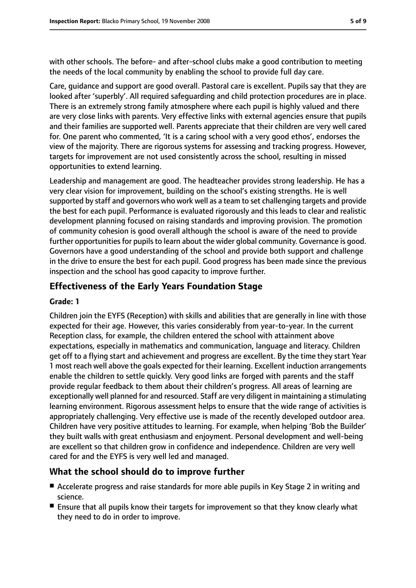with other schools. The before- and after-school clubs make a good contribution to meeting the needs of the local community by enabling the school to provide full day care.

Care, guidance and support are good overall. Pastoral care is excellent. Pupils say that they are looked after 'superbly'. All required safeguarding and child protection procedures are in place. There is an extremely strong family atmosphere where each pupil is highly valued and there are very close links with parents. Very effective links with external agencies ensure that pupils and their families are supported well. Parents appreciate that their children are very well cared for. One parent who commented, 'It is a caring school with a very good ethos', endorses the view of the majority. There are rigorous systems for assessing and tracking progress. However, targets for improvement are not used consistently across the school, resulting in missed opportunities to extend learning.

Leadership and management are good. The headteacher provides strong leadership. He has a very clear vision for improvement, building on the school's existing strengths. He is well supported by staff and governors who work well as a team to set challenging targets and provide the best for each pupil. Performance is evaluated rigorously and this leads to clear and realistic development planning focused on raising standards and improving provision. The promotion of community cohesion is good overall although the school is aware of the need to provide further opportunities for pupils to learn about the wider global community. Governance is good. Governors have a good understanding of the school and provide both support and challenge in the drive to ensure the best for each pupil. Good progress has been made since the previous inspection and the school has good capacity to improve further.

#### **Effectiveness of the Early Years Foundation Stage**

#### **Grade: 1**

Children join the EYFS (Reception) with skills and abilities that are generally in line with those expected for their age. However, this varies considerably from year-to-year. In the current Reception class, for example, the children entered the school with attainment above expectations, especially in mathematics and communication, language and literacy. Children get off to a flying start and achievement and progress are excellent. By the time they start Year 1 most reach well above the goals expected for their learning. Excellent induction arrangements enable the children to settle quickly. Very good links are forged with parents and the staff provide regular feedback to them about their children's progress. All areas of learning are exceptionally well planned for and resourced. Staff are very diligent in maintaining a stimulating learning environment. Rigorous assessment helps to ensure that the wide range of activities is appropriately challenging. Very effective use is made of the recently developed outdoor area. Children have very positive attitudes to learning. For example, when helping 'Bob the Builder' they built walls with great enthusiasm and enjoyment. Personal development and well-being are excellent so that children grow in confidence and independence. Children are very well cared for and the EYFS is very well led and managed.

#### **What the school should do to improve further**

- Accelerate progress and raise standards for more able pupils in Key Stage 2 in writing and science.
- Ensure that all pupils know their targets for improvement so that they know clearly what they need to do in order to improve.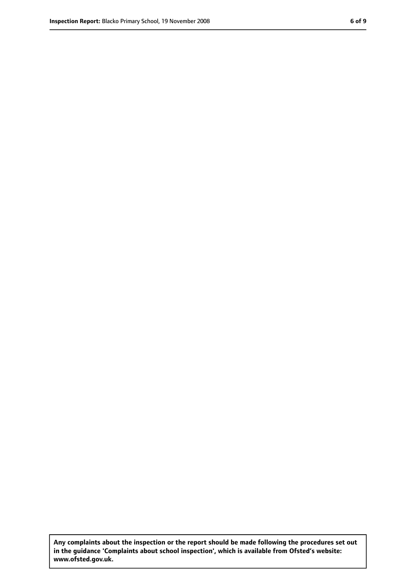**Any complaints about the inspection or the report should be made following the procedures set out in the guidance 'Complaints about school inspection', which is available from Ofsted's website: www.ofsted.gov.uk.**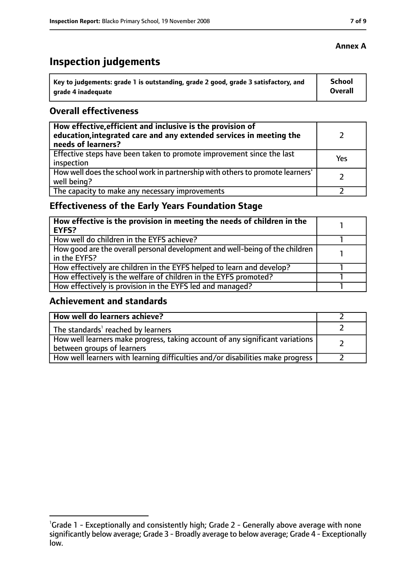# **Inspection judgements**

| \ Key to judgements: grade 1 is outstanding, grade 2 good, grade 3 satisfactory, and | <b>School</b>  |
|--------------------------------------------------------------------------------------|----------------|
| arade 4 inadequate                                                                   | <b>Overall</b> |

#### **Overall effectiveness**

| How effective, efficient and inclusive is the provision of<br>education, integrated care and any extended services in meeting the<br>needs of learners? |     |
|---------------------------------------------------------------------------------------------------------------------------------------------------------|-----|
| Effective steps have been taken to promote improvement since the last<br>inspection                                                                     | Yes |
| How well does the school work in partnership with others to promote learners'<br>well being?                                                            |     |
| The capacity to make any necessary improvements                                                                                                         |     |

## **Effectiveness of the Early Years Foundation Stage**

| How effective is the provision in meeting the needs of children in the<br>EYFS?              |  |
|----------------------------------------------------------------------------------------------|--|
| How well do children in the EYFS achieve?                                                    |  |
| How good are the overall personal development and well-being of the children<br>in the EYFS? |  |
| How effectively are children in the EYFS helped to learn and develop?                        |  |
| How effectively is the welfare of children in the EYFS promoted?                             |  |
| How effectively is provision in the EYFS led and managed?                                    |  |

#### **Achievement and standards**

| How well do learners achieve?                                                  |  |
|--------------------------------------------------------------------------------|--|
| $\vert$ The standards <sup>1</sup> reached by learners                         |  |
| How well learners make progress, taking account of any significant variations  |  |
| between groups of learners                                                     |  |
| How well learners with learning difficulties and/or disabilities make progress |  |

#### **Annex A**

<sup>&</sup>lt;sup>1</sup>Grade 1 - Exceptionally and consistently high; Grade 2 - Generally above average with none significantly below average; Grade 3 - Broadly average to below average; Grade 4 - Exceptionally low.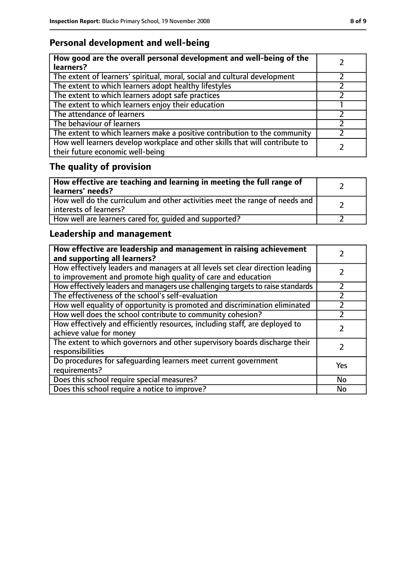## **Personal development and well-being**

| How good are the overall personal development and well-being of the<br>learners?                                 |  |
|------------------------------------------------------------------------------------------------------------------|--|
| The extent of learners' spiritual, moral, social and cultural development                                        |  |
| The extent to which learners adopt healthy lifestyles                                                            |  |
| The extent to which learners adopt safe practices                                                                |  |
| The extent to which learners enjoy their education                                                               |  |
| The attendance of learners                                                                                       |  |
| The behaviour of learners                                                                                        |  |
| The extent to which learners make a positive contribution to the community                                       |  |
| How well learners develop workplace and other skills that will contribute to<br>their future economic well-being |  |

# **The quality of provision**

| How effective are teaching and learning in meeting the full range of<br>learners' needs?              |  |
|-------------------------------------------------------------------------------------------------------|--|
| How well do the curriculum and other activities meet the range of needs and<br>interests of learners? |  |
| How well are learners cared for, quided and supported?                                                |  |

## **Leadership and management**

| How effective are leadership and management in raising achievement<br>and supporting all learners?                                              |     |
|-------------------------------------------------------------------------------------------------------------------------------------------------|-----|
| How effectively leaders and managers at all levels set clear direction leading<br>to improvement and promote high quality of care and education |     |
| How effectively leaders and managers use challenging targets to raise standards                                                                 |     |
| The effectiveness of the school's self-evaluation                                                                                               |     |
| How well equality of opportunity is promoted and discrimination eliminated                                                                      |     |
| How well does the school contribute to community cohesion?                                                                                      |     |
| How effectively and efficiently resources, including staff, are deployed to<br>achieve value for money                                          |     |
| The extent to which governors and other supervisory boards discharge their<br>responsibilities                                                  |     |
| Do procedures for safeguarding learners meet current government<br>requirements?                                                                | Yes |
| Does this school require special measures?                                                                                                      | No  |
| Does this school require a notice to improve?                                                                                                   | No  |